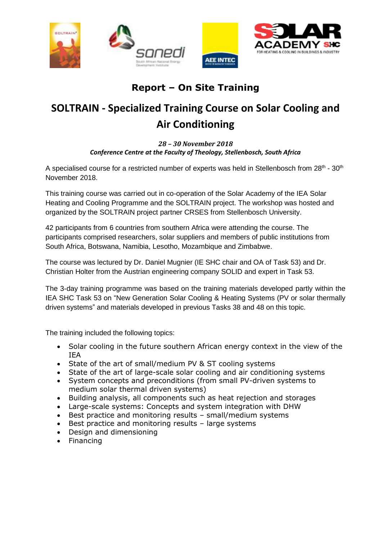

## **Report – On Site Training**

## **SOLTRAIN - Specialized Training Course on Solar Cooling and Air Conditioning**

## *28 – 30 November 2018 Conference Centre at the Faculty of Theology, Stellenbosch, South Africa*

A specialised course for a restricted number of experts was held in Stellenbosch from 28<sup>th</sup> - 30<sup>th</sup> November 2018.

This training course was carried out in co-operation of the Solar Academy of the IEA Solar Heating and Cooling Programme and the SOLTRAIN project. The workshop was hosted and organized by the SOLTRAIN project partner CRSES from Stellenbosch University.

42 participants from 6 countries from southern Africa were attending the course. The participants comprised researchers, solar suppliers and members of public institutions from South Africa, Botswana, Namibia, Lesotho, Mozambique and Zimbabwe.

The course was lectured by Dr. Daniel Mugnier (IE SHC chair and OA of Task 53) and Dr. Christian Holter from the Austrian engineering company SOLID and expert in Task 53.

The 3-day training programme was based on the training materials developed partly within the IEA SHC Task 53 on "New Generation Solar Cooling & Heating Systems (PV or solar thermally driven systems" and materials developed in previous Tasks 38 and 48 on this topic.

The training included the following topics:

- Solar cooling in the future southern African energy context in the view of the IEA
- State of the art of small/medium PV & ST cooling systems
- State of the art of large-scale solar cooling and air conditioning systems
- System concepts and preconditions (from small PV-driven systems to medium solar thermal driven systems)
- Building analysis, all components such as heat rejection and storages
- Large-scale systems: Concepts and system integration with DHW
- Best practice and monitoring results small/medium systems
- Best practice and monitoring results large systems
- Design and dimensioning
- Financing